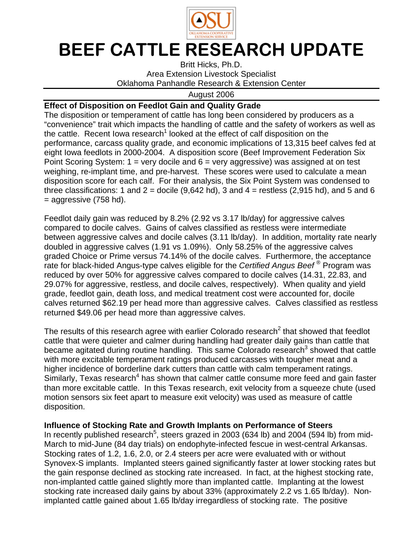

## BEEF CATTLE RESEARCH UPDATE

Britt Hicks, Ph.D. Area Extension Livestock Specialist Oklahoma Panhandle Research & Extension Center

August 2006

## **Effect of Disposition on Feedlot Gain and Quality Grade**

The disposition or temperament of cattle has long been considered by producers as a "convenience" trait which impacts the handling of cattle and the safety of workers as well as the cattle. Recent lowa research<sup>1</sup> looked at the effect of calf disposition on the performance, carcass quality grade, and economic implications of 13,315 beef calves fed at eight Iowa feedlots in 2000-2004. A disposition score (Beef Improvement Federation Six Point Scoring System:  $1 = \text{very docile}$  and  $6 = \text{very aggressive}$ ) was assigned at on test weighing, re-implant time, and pre-harvest. These scores were used to calculate a mean disposition score for each calf. For their analysis, the Six Point System was condensed to three classifications: 1 and 2 = docile  $(9,642 \text{ hd})$ , 3 and 4 = restless  $(2,915 \text{ hd})$ , and 5 and 6  $=$  aggressive (758 hd).

Feedlot daily gain was reduced by 8.2% (2.92 vs 3.17 lb/day) for aggressive calves compared to docile calves. Gains of calves classified as restless were intermediate between aggressive calves and docile calves (3.11 lb/day). In addition, mortality rate nearly doubled in aggressive calves (1.91 vs 1.09%). Only 58.25% of the aggressive calves graded Choice or Prime versus 74.14% of the docile calves. Furthermore, the acceptance rate for black-hided Angus-type calves eligible for the Certified Angus Beef<sup>®</sup> Program was reduced by over 50% for aggressive calves compared to docile calves (14.31, 22.83, and 29.07% for aggressive, restless, and docile calves, respectively). When quality and yield grade, feedlot gain, death loss, and medical treatment cost were accounted for, docile calves returned \$62.19 per head more than aggressive calves. Calves classified as restless returned \$49.06 per head more than aggressive calves.

The results of this research agree with earlier Colorado research<sup>2</sup> that showed that feedlot cattle that were quieter and calmer during handling had greater daily gains than cattle that became agitated during routine handling. This same Colorado research<sup>3</sup> showed that cattle with more excitable temperament ratings produced carcasses with tougher meat and a higher incidence of borderline dark cutters than cattle with calm temperament ratings. Similarly, Texas research<sup>4</sup> has shown that calmer cattle consume more feed and gain faster than more excitable cattle. In this Texas research, exit velocity from a squeeze chute (used motion sensors six feet apart to measure exit velocity) was used as measure of cattle disposition.

## **Influence of Stocking Rate and Growth Implants on Performance of Steers**

In recently published research<sup>5</sup>, steers grazed in 2003 (634 lb) and 2004 (594 lb) from mid-March to mid-June (84 day trials) on endophyte-infected fescue in west-central Arkansas. Stocking rates of 1.2, 1.6, 2.0, or 2.4 steers per acre were evaluated with or without Synovex-S implants. Implanted steers gained significantly faster at lower stocking rates but the gain response declined as stocking rate increased. In fact, at the highest stocking rate, non-implanted cattle gained slightly more than implanted cattle. Implanting at the lowest stocking rate increased daily gains by about 33% (approximately 2.2 vs 1.65 lb/day). Nonimplanted cattle gained about 1.65 lb/day irregardless of stocking rate. The positive